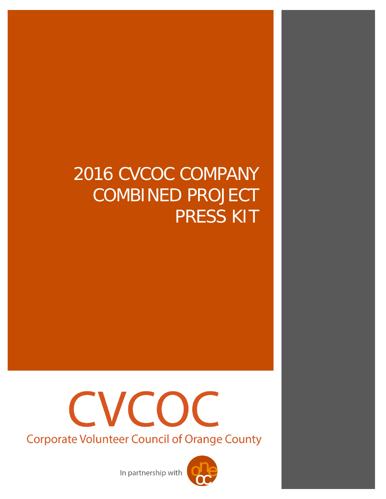## 2016 CVCOC COMPANY COMBINED PROJECT PRESS KIT



In partnership with

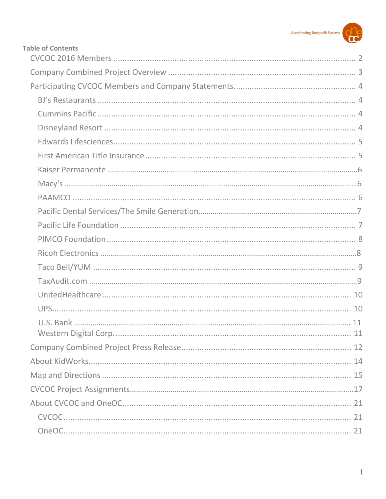

| <b>Table of Contents</b> |  |
|--------------------------|--|
|                          |  |
|                          |  |
|                          |  |
|                          |  |
|                          |  |
|                          |  |
|                          |  |
|                          |  |
|                          |  |
|                          |  |
|                          |  |
|                          |  |
|                          |  |
|                          |  |
|                          |  |
|                          |  |
|                          |  |
|                          |  |
| U.S. Bank<br>11          |  |
|                          |  |
|                          |  |
|                          |  |
|                          |  |
|                          |  |
|                          |  |
|                          |  |
|                          |  |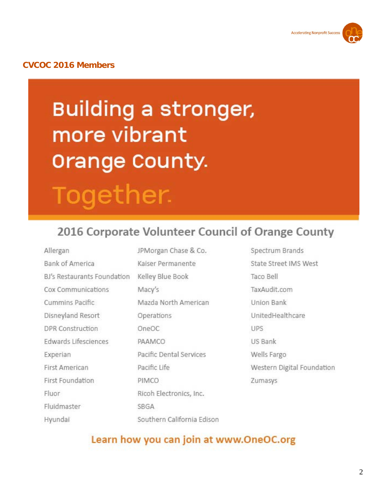

## <span id="page-2-0"></span>**CVCOC 2016 Members**

## Building a stronger, more vibrant Orange County. Together.

## 2016 Corporate Volunteer Council of Orange County

Allergan **Bank of America** BJ's Restaurants Foundation Kelley Blue Book Cox Communications Cummins Pacific Disneyland Resort DPR Construction Edwards Lifesciences Experian First American First Foundation Fluor Fluidmaster Southern California Edison Hyundai

JPMorgan Chase & Co. Kaiser Permanente Macy's Mazda North American Operations OneOC PAAMCO Pacific Dental Services Pacific Life PIMCO Ricoh Electronics, Inc. SBGA

Spectrum Brands State Street IMS West Taco Bell TaxAudit.com Union Bank UnitedHealthcare **LIPS** US Bank Wells Fargo Western Digital Foundation Zumasys

## Learn how you can join at www.OneOC.org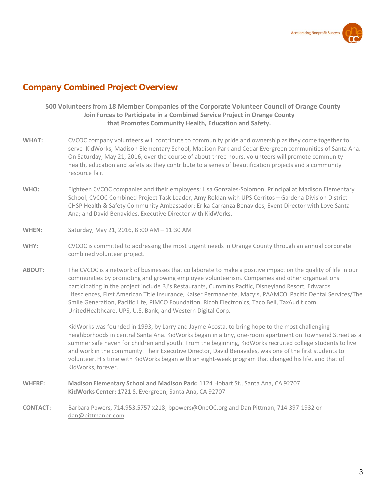

## <span id="page-3-0"></span>**Company Combined Project Overview**

## **500 Volunteers from 18 Member Companies of the Corporate Volunteer Council of Orange County Join Forces to Participate in a Combined Service Project in Orange County that Promotes Community Health, Education and Safety.**

- **WHAT:** CVCOC company volunteers will contribute to community pride and ownership as they come together to serve KidWorks, Madison Elementary School, Madison Park and Cedar Evergreen communities of Santa Ana. On Saturday, May 21, 2016, over the course of about three hours, volunteers will promote community health, education and safety as they contribute to a series of beautification projects and a community resource fair.
- **WHO:** Eighteen CVCOC companies and their employees; Lisa Gonzales-Solomon, Principal at Madison Elementary School; CVCOC Combined Project Task Leader, Amy Roldan with UPS Cerritos – Gardena Division District CHSP Health & Safety Community Ambassador; Erika Carranza Benavides, Event Director with Love Santa Ana; and David Benavides, Executive Director with KidWorks.
- **WHEN:** Saturday, May 21, 2016, 8 :00 AM 11:30 AM
- **WHY:** CVCOC is committed to addressing the most urgent needs in Orange County through an annual corporate combined volunteer project.
- **ABOUT:** The CVCOC is a network of businesses that collaborate to make a positive impact on the quality of life in our communities by promoting and growing employee volunteerism. Companies and other organizations participating in the project include BJ's Restaurants, Cummins Pacific, Disneyland Resort, Edwards Lifesciences, First American Title Insurance, Kaiser Permanente, Macy's, PAAMCO, Pacific Dental Services/The Smile Generation, Pacific Life, PIMCO Foundation, Ricoh Electronics, Taco Bell, TaxAudit.com, UnitedHealthcare, UPS, U.S. Bank, and Western Digital Corp.

KidWorks was founded in 1993, by Larry and Jayme Acosta, to bring hope to the most challenging neighborhoods in central Santa Ana. KidWorks began in a tiny, one-room apartment on Townsend Street as a summer safe haven for children and youth. From the beginning, KidWorks recruited college students to live and work in the community. Their Executive Director, David Benavides, was one of the first students to volunteer. His time with KidWorks began with an eight-week program that changed his life, and that of KidWorks, forever.

- **WHERE: Madison Elementary School and Madison Park:** 1124 Hobart St., Santa Ana, CA 92707 **KidWorks Center:** 1721 S. Evergreen, Santa Ana, CA 92707
- **CONTACT:** Barbara Powers, 714.953.5757 x218; bpowers@OneOC.org and Dan Pittman, 714-397-1932 or [dan@pittmanpr.com](mailto:dan@pittmanpr.com)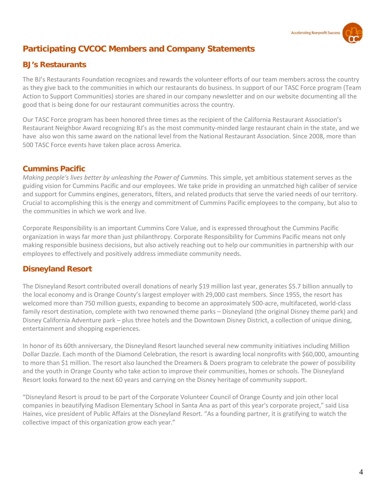

## <span id="page-4-0"></span>**Participating CVCOC Members and Company Statements**

## <span id="page-4-2"></span>**BJ's Restaurants**

<span id="page-4-1"></span>The BJ's Restaurants Foundation recognizes and rewards the volunteer efforts of our team members across the country as they give back to the communities in which our restaurants do business. In support of our TASC Force program (Team Action to Support Communities) stories are shared in our company newsletter and on our website documenting all the good that is being done for our restaurant communities across the country.

Our TASC Force program has been honored three times as the recipient of the California Restaurant Association's Restaurant Neighbor Award recognizing BJ's as the most community-minded large restaurant chain in the state, and we have also won this same award on the national level from the National Restaurant Association. Since 2008, more than 500 TASC Force events have taken place across America.

## **Cummins Pacific**

*Making people's lives better by unleashing the Power of Cummins.* This simple, yet ambitious statement serves as the guiding vision for Cummins Pacific and our employees. We take pride in providing an unmatched high caliber of service and support for Cummins engines, generators, filters, and related products that serve the varied needs of our territory. Crucial to accomplishing this is the energy and commitment of Cummins Pacific employees to the company, but also to the communities in which we work and live.

Corporate Responsibility is an important Cummins Core Value, and is expressed throughout the Cummins Pacific organization in ways far more than just philanthropy. Corporate Responsibility for Cummins Pacific means not only making responsible business decisions, but also actively reaching out to help our communities in partnership with our employees to effectively and positively address immediate community needs.

## **Disneyland Resort**

The Disneyland Resort contributed overall donations of nearly \$19 million last year, generates \$5.7 billion annually to the local economy and is Orange County's largest employer with 29,000 cast members. Since 1955, the resort has welcomed more than 750 million guests, expanding to become an approximately 500-acre, multifaceted, world-class family resort destination, complete with two renowned theme parks – Disneyland (the original Disney theme park) and Disney California Adventure park – plus three hotels and the Downtown Disney District, a collection of unique dining, entertainment and shopping experiences.

In honor of its 60th anniversary, the Disneyland Resort launched several new community initiatives including Million Dollar Dazzle. Each month of the Diamond Celebration, the resort is awarding local nonprofits with \$60,000, amounting to more than \$1 million. The resort also launched the Dreamers & Doers program to celebrate the power of possibility and the youth in Orange County who take action to improve their communities, homes or schools. The Disneyland Resort looks forward to the next 60 years and carrying on the Disney heritage of community support.

<span id="page-4-3"></span>"Disneyland Resort is proud to be part of the Corporate Volunteer Council of Orange County and join other local companies in beautifying Madison Elementary School in Santa Ana as part of this year's corporate project," said Lisa Haines, vice president of Public Affairs at the Disneyland Resort. "As a founding partner, it is gratifying to watch the collective impact of this organization grow each year."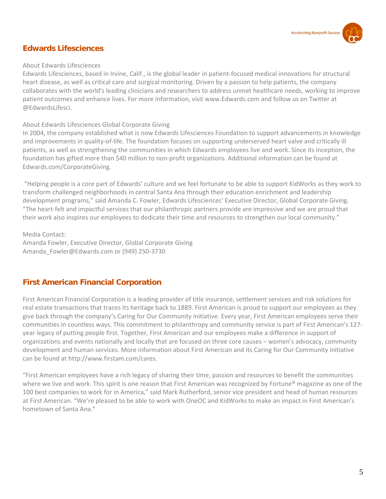

## **Edwards Lifesciences**

#### About Edwards Lifesciences

Edwards Lifesciences, based in Irvine, Calif., is the global leader in patient-focused medical innovations for structural heart disease, as well as critical care and surgical monitoring. Driven by a passion to help patients, the company collaborates with the world's leading clinicians and researchers to address unmet healthcare needs, working to improve patient outcomes and enhance lives. For more information, visit [www.Edwards.com](http://www.edwards.com/) and follow us on Twitter at @EdwardsLifesci.

## About Edwards Lifesciences Global Corporate Giving

In 2004, the company established what is now Edwards Lifesciences Foundation to support advancements in knowledge and improvements in quality-of-life. The foundation focuses on supporting underserved heart valve and critically ill patients, as well as strengthening the communities in which Edwards employees live and work. Since its inception, the foundation has gifted more than \$40 million to non-profit organizations. Additional information can be found at [Edwards.com/CorporateGiving.](http://edwards.com/CorporateGiving)

"Helping people is a core part of Edwards' culture and we feel fortunate to be able to support KidWorks as they work to transform challenged neighborhoods in central Santa Ana through their education enrichment and leadership development programs," said Amanda C. Fowler, Edwards Lifesciences' Executive Director, Global Corporate Giving. "The heart-felt and impactful services that our philanthropic partners provide are impressive and we are proud that their work also inspires our employees to dedicate their time and resources to strengthen our local community."

Media Contact: Amanda Fowler, Executive Director, Global Corporate Giving [Amanda\\_Fowler@Edwards.com](mailto:Amanda_Fowler@edwards.com) or (949) 250-3730

## **First American Financial Corporation**

First American Financial Corporation is a leading provider of title insurance, settlement services and risk solutions for real estate transactions that traces its heritage back to 1889. First American is proud to support our employees as they give back through the company's Caring for Our Community initiative. Every year, First American employees serve their communities in countless ways. This commitment to philanthropy and community service is part of First American's 127 year legacy of putting people first. Together, First American and our employees make a difference in support of organizations and events nationally and locally that are focused on three core causes – women's advocacy, community development and human services. More information about First American and its Caring for Our Community initiative can be found at [http://www.firstam.com/cares.](http://www.firstam.com/cares)

"First American employees have a rich legacy of sharing their time, passion and resources to benefit the communities where we live and work. This spirit is one reason that First American was recognized by Fortune<sup>®</sup> magazine as one of the 100 best companies to work for in America," said Mark Rutherford, senior vice president and head of human resources at First American. "We're pleased to be able to work with OneOC and KidWorks to make an impact in First American's hometown of Santa Ana."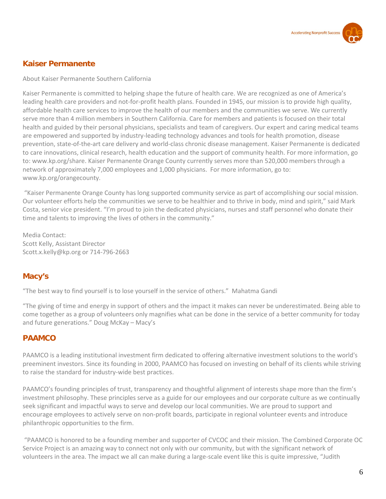

## <span id="page-6-0"></span>**Kaiser Permanente**

About Kaiser Permanente Southern California

Kaiser Permanente is committed to helping shape the future of health care. We are recognized as one of America's leading health care providers and not-for-profit health plans. Founded in 1945, our mission is to provide high quality, affordable health care services to improve the health of our members and the communities we serve. We currently serve more than 4 million members in Southern California. Care for members and patients is focused on their total health and guided by their personal physicians, specialists and team of caregivers. Our expert and caring medical teams are empowered and supported by industry-leading technology advances and tools for health promotion, disease prevention, state-of-the-art care delivery and world-class chronic disease management. Kaiser Permanente is dedicated to care innovations, clinical research, health education and the support of community health. For more information, go to: www.kp.org/share. Kaiser Permanente Orange County currently serves more than 520,000 members through a network of approximately 7,000 employees and 1,000 physicians. For more information, go to: www.kp.org/orangecounty.

"Kaiser Permanente Orange County has long supported community service as part of accomplishing our social mission. Our volunteer efforts help the communities we serve to be healthier and to thrive in body, mind and spirit," said Mark Costa, senior vice president. "I'm proud to join the dedicated physicians, nurses and staff personnel who donate their time and talents to improving the lives of others in the community."

Media Contact: Scott Kelly, Assistant Director Scott.x.kelly@kp.org or 714-796-2663

## **Macy's**

"The best way to find yourself is to lose yourself in the service of others." Mahatma Gandi

"The giving of time and energy in support of others and the impact it makes can never be underestimated. Being able to come together as a group of volunteers only magnifies what can be done in the service of a better community for today and future generations." Doug McKay – Macy's

## **PAAMCO**

PAAMCO is a leading institutional investment firm dedicated to offering alternative investment solutions to the world's preeminent investors. Since its founding in 2000, PAAMCO has focused on investing on behalf of its clients while striving to raise the standard for industry-wide best practices.

PAAMCO's founding principles of trust, transparency and thoughtful alignment of interests shape more than the firm's investment philosophy. These principles serve as a guide for our employees and our corporate culture as we continually seek significant and impactful ways to serve and develop our local communities. We are proud to support and encourage employees to actively serve on non-profit boards, participate in regional volunteer events and introduce philanthropic opportunities to the firm.

"PAAMCO is honored to be a founding member and supporter of CVCOC and their mission. The Combined Corporate OC Service Project is an amazing way to connect not only with our community, but with the significant network of volunteers in the area. The impact we all can make during a large-scale event like this is quite impressive, "Judith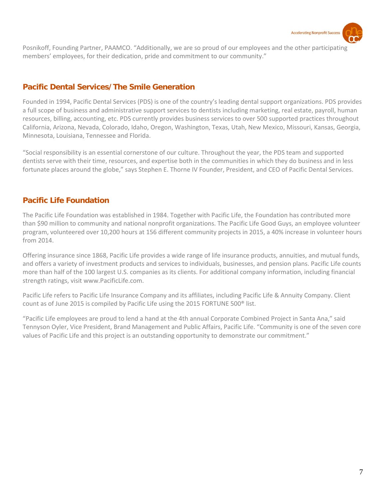

Posnikoff, Founding Partner, PAAMCO. "Additionally, we are so proud of our employees and the other participating members' employees, for their dedication, pride and commitment to our community."

## **Pacific Dental Services/The Smile Generation**

Founded in 1994, Pacific Dental Services (PDS) is one of the country's leading dental support organizations. PDS provides a full scope of business and administrative support services to dentists including marketing, real estate, payroll, human resources, billing, accounting, etc. PDS currently provides business services to over 500 supported practices throughout California, Arizona, Nevada, Colorado, Idaho, Oregon, Washington, Texas, Utah, New Mexico, Missouri, Kansas, Georgia, Minnesota, Louisiana, Tennessee and Florida.

"Social responsibility is an essential cornerstone of our culture. Throughout the year, the PDS team and supported dentists serve with their time, resources, and expertise both in the communities in which they do business and in less fortunate places around the globe," says Stephen E. Thorne IV Founder, President, and CEO of Pacific Dental Services.

## **Pacific Life Foundation**

<span id="page-7-0"></span>The Pacific Life Foundation was established in 1984. Together with Pacific Life, the Foundation has contributed more than \$90 million to community and national nonprofit organizations. The Pacific Life Good Guys, an employee volunteer program, volunteered over 10,200 hours at 156 different community projects in 2015, a 40% increase in volunteer hours from 2014.

Offering insurance since 1868, Pacific Life provides a wide range of life insurance products, annuities, and mutual funds, and offers a variety of investment products and services to individuals, businesses, and pension plans. Pacific Life counts more than half of the 100 largest U.S. companies as its clients. For additional company information, including financial strength ratings, visit www.PacificLife.com.

Pacific Life refers to Pacific Life Insurance Company and its affiliates, including Pacific Life & Annuity Company. Client count as of June 2015 is compiled by Pacific Life using the 2015 FORTUNE 500® list.

"Pacific Life employees are proud to lend a hand at the 4th annual Corporate Combined Project in Santa Ana," said Tennyson Oyler, Vice President, Brand Management and Public Affairs, Pacific Life. "Community is one of the seven core values of Pacific Life and this project is an outstanding opportunity to demonstrate our commitment."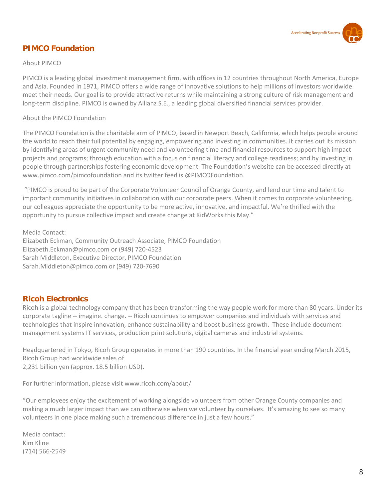

## **PIMCO Foundation**

## About PIMCO

PIMCO is a leading global investment management firm, with offices in 12 countries throughout North America, Europe and Asia. Founded in 1971, PIMCO offers a wide range of innovative solutions to help millions of investors worldwide meet their needs. Our goal is to provide attractive returns while maintaining a strong culture of risk management and long-term discipline. PIMCO is owned by Allianz S.E., a leading global diversified financial services provider.

## About the PIMCO Foundation

The PIMCO Foundation is the charitable arm of PIMCO, based in Newport Beach, California, which helps people around the world to reach their full potential by engaging, empowering and investing in communities. It carries out its mission by identifying areas of urgent community need and volunteering time and financial resources to support high impact projects and programs; through education with a focus on financial literacy and college readiness; and by investing in people through partnerships fostering economic development. The Foundation's website can be accessed directly at www.pimco.com/pimcofoundation and its twitter feed is @PIMCOFoundation.

"PIMCO is proud to be part of the Corporate Volunteer Council of Orange County, and lend our time and talent to important community initiatives in collaboration with our corporate peers. When it comes to corporate volunteering, our colleagues appreciate the opportunity to be more active, innovative, and impactful. We're thrilled with the opportunity to pursue collective impact and create change at KidWorks this May."

Media Contact: Elizabeth Eckman, Community Outreach Associate, PIMCO Foundation Elizabeth.Eckman@pimco.com or (949) 720-4523 Sarah Middleton, Executive Director, PIMCO Foundation Sarah.Middleton@pimco.com or (949) 720-7690

## **Ricoh Electronics**

Ricoh is a global technology company that has been transforming the way people work for more than 80 years. Under its corporate tagline -- imagine. change. -- Ricoh continues to empower companies and individuals with services and technologies that inspire innovation, enhance sustainability and boost business growth. These include document management systems IT services, production print solutions, digital cameras and industrial systems.

Headquartered in Tokyo, Ricoh Group operates in more than 190 countries. In the financial year ending March 2015, Ricoh Group had worldwide sales of

2,231 billion yen (approx. 18.5 billion USD).

For further information, please visi[t www.ricoh.com/about/](http://www.ricoh.com/about/)

"Our employees enjoy the excitement of working alongside volunteers from other Orange County companies and making a much larger impact than we can otherwise when we volunteer by ourselves. It's amazing to see so many volunteers in one place making such a tremendous difference in just a few hours."

Media contact: Kim Kline (714) 566-2549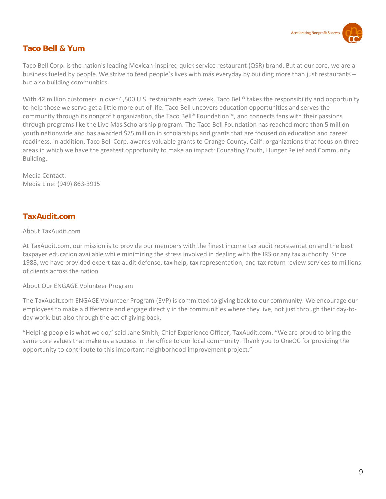

## **Taco Bell & Yum**

Taco Bell Corp. is the nation's leading Mexican-inspired quick service restaurant (QSR) brand. But at our core, we are a business fueled by people. We strive to feed people's lives with más everyday by building more than just restaurants – but also building communities.

With 42 million customers in over 6,500 U.S. restaurants each week, Taco Bell® takes the responsibility and opportunity to help those we serve get a little more out of life. Taco Bell uncovers education opportunities and serves the community through its nonprofit organization, the Taco Bell® Foundation™, and connects fans with their passions through programs like the Live Mas Scholarship program. The Taco Bell Foundation has reached more than 5 million youth nationwide and has awarded \$75 million in scholarships and grants that are focused on education and career readiness. In addition, Taco Bell Corp. awards valuable grants to Orange County, Calif. organizations that focus on three areas in which we have the greatest opportunity to make an impact: Educating Youth, Hunger Relief and Community Building.

<span id="page-9-0"></span>Media Contact: Media Line: (949) 863-3915

## **TaxAudit.com**

## About TaxAudit.com

At TaxAudit.com, our mission is to provide our members with the finest income tax audit representation and the best taxpayer education available while minimizing the stress involved in dealing with the IRS or any tax authority. Since 1988, we have provided expert tax audit defense, tax help, tax representation, and tax return review services to millions of clients across the nation.

## About Our ENGAGE Volunteer Program

The TaxAudit.com ENGAGE Volunteer Program (EVP) is committed to giving back to our community. We encourage our employees to make a difference and engage directly in the communities where they live, not just through their day-today work, but also through the act of giving back.

"Helping people is what we do," said Jane Smith, Chief Experience Officer, TaxAudit.com. "We are proud to bring the same core values that make us a success in the office to our local community. Thank you to OneOC for providing the opportunity to contribute to this important neighborhood improvement project."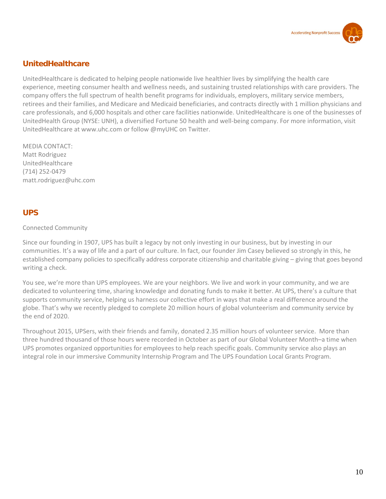

## **UnitedHealthcare**

UnitedHealthcare is dedicated to helping people nationwide live healthier lives by simplifying the health care experience, meeting consumer health and wellness needs, and sustaining trusted relationships with care providers. The company offers the full spectrum of health benefit programs for individuals, employers, military service members, retirees and their families, and Medicare and Medicaid beneficiaries, and contracts directly with 1 million physicians and care professionals, and 6,000 hospitals and other care facilities nationwide. UnitedHealthcare is one of the businesses of UnitedHealth Group (NYSE: UNH), a diversified Fortune 50 health and well-being company. For more information, visit UnitedHealthcare at www.uhc.com or follow @myUHC on Twitter.

MEDIA CONTACT: Matt Rodriguez UnitedHealthcare (714) 252-0479 [matt.rodriguez@uhc.com](mailto:matt.rodriguez@uhc.com)

## <span id="page-10-0"></span>**UPS**

## Connected Community

Since our founding in 1907, UPS has built a legacy by not only investing in our business, but by investing in our communities. It's a way of life and a part of our culture. In fact, our founder Jim Casey believed so strongly in this, he established company policies to specifically address corporate citizenship and charitable giving – giving that goes beyond writing a check.

You see, we're more than UPS employees. We are your neighbors. We live and work in your community, and we are dedicated to volunteering time, sharing knowledge and donating funds to make it better. At UPS, there's a culture that supports community service, helping us harness our collective effort in ways that make a real difference around the globe. That's why we recently pledged to complete 20 million hours of global volunteerism and community service by the end of 2020.

Throughout 2015, UPSers, with their friends and family, donated 2.35 million hours of volunteer service. More than three hundred thousand of those hours were recorded in October as part of our Global Volunteer Month–a time when UPS promotes organized opportunities for employees to help reach specific goals. Community service also plays an integral role in our immersive Community Internship Program and The UPS Foundation Local Grants Program.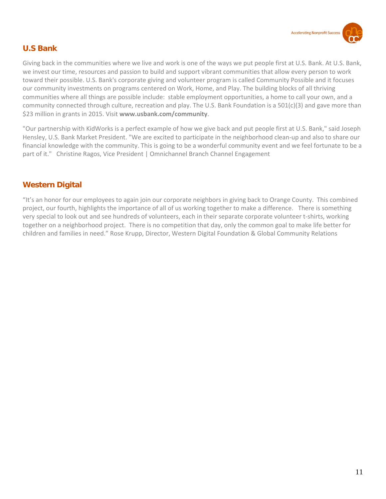

## <span id="page-11-0"></span>**U.S Bank**

Giving back in the communities where we live and work is one of the ways we put people first at U.S. Bank. At U.S. Bank, we invest our time, resources and passion to build and support vibrant communities that allow every person to work toward their possible. U.S. Bank's corporate giving and volunteer program is called Community Possible and it focuses our community investments on programs centered on Work, Home, and Play. The building blocks of all thriving communities where all things are possible include: stable employment opportunities, a home to call your own, and a community connected through culture, recreation and play. The U.S. Bank Foundation is a 501(c)(3) and gave more than \$23 million in grants in 2015. Visit **[www.usbank.com/community](http://www.usbank.com/community)**.

"Our partnership with KidWorks is a perfect example of how we give back and put people first at U.S. Bank," said Joseph Hensley, U.S. Bank Market President. "We are excited to participate in the neighborhood clean-up and also to share our financial knowledge with the community. This is going to be a wonderful community event and we feel fortunate to be a part of it." Christine Ragos, Vice President | Omnichannel Branch Channel Engagement

## **Western Digital**

"It's an honor for our employees to again join our corporate neighbors in giving back to Orange County. This combined project, our fourth, highlights the importance of all of us working together to make a difference. There is something very special to look out and see hundreds of volunteers, each in their separate corporate volunteer t-shirts, working together on a neighborhood project. There is no competition that day, only the common goal to make life better for children and families in need." Rose Krupp, Director, Western Digital Foundation & Global Community Relations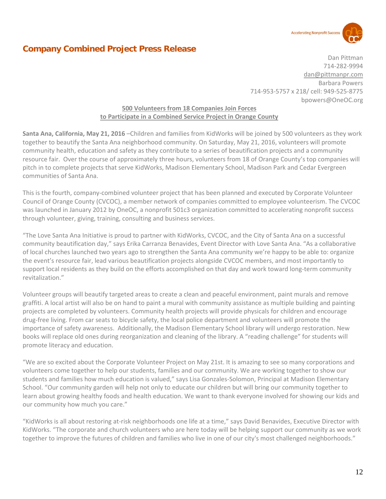

## <span id="page-12-0"></span>**Company Combined Project Press Release**

Dan Pittman 714-282-9994 [dan@pittmanpr.com](mailto:dan@pittmanpr.com) Barbara Powers 714-953-5757 x 218/ cell: 949-525-8775 bpowers@OneOC.org

## **500 Volunteers from 18 Companies Join Forces to Participate in a Combined Service Project in Orange County**

**Santa Ana, California, May 21, 2016** –Children and families from KidWorks will be joined by 500 volunteers as they work together to beautify the Santa Ana neighborhood community. On Saturday, May 21, 2016, volunteers will promote community health, education and safety as they contribute to a series of beautification projects and a community resource fair. Over the course of approximately three hours, volunteers from 18 of Orange County's top companies will pitch in to complete projects that serve KidWorks, Madison Elementary School, Madison Park and Cedar Evergreen communities of Santa Ana.

This is the fourth, company-combined volunteer project that has been planned and executed by Corporate Volunteer Council of Orange County (CVCOC), a member network of companies committed to employee volunteerism. The CVCOC was launched in January 2012 by OneOC, a nonprofit 501c3 organization committed to accelerating nonprofit success through volunteer, giving, training, consulting and business services.

"The Love Santa Ana Initiative is proud to partner with KidWorks, CVCOC, and the City of Santa Ana on a successful community beautification day," says Erika Carranza Benavides, Event Director with Love Santa Ana. "As a collaborative of local churches launched two years ago to strengthen the Santa Ana community we're happy to be able to: organize the event's resource fair, lead various beautification projects alongside CVCOC members, and most importantly to support local residents as they build on the efforts accomplished on that day and work toward long-term community revitalization."

Volunteer groups will beautify targeted areas to create a clean and peaceful environment, paint murals and remove graffiti. A local artist will also be on hand to paint a mural with community assistance as multiple building and painting projects are completed by volunteers. Community health projects will provide physicals for children and encourage drug-free living. From car seats to bicycle safety, the local police department and volunteers will promote the importance of safety awareness. Additionally, the Madison Elementary School library will undergo restoration. New books will replace old ones during reorganization and cleaning of the library. A "reading challenge" for students will promote literacy and education.

"We are so excited about the Corporate Volunteer Project on May 21st. It is amazing to see so many corporations and volunteers come together to help our students, families and our community. We are working together to show our students and families how much education is valued," says Lisa Gonzales-Solomon, Principal at Madison Elementary School. "Our community garden will help not only to educate our children but will bring our community together to learn about growing healthy foods and health education. We want to thank everyone involved for showing our kids and our community how much you care."

"KidWorks is all about restoring at-risk neighborhoods one life at a time," says David Benavides, Executive Director with KidWorks. "The corporate and church volunteers who are here today will be helping support our community as we work together to improve the futures of children and families who live in one of our city's most challenged neighborhoods."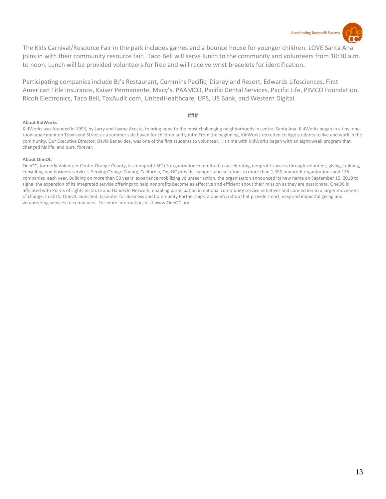

The Kids Carnival/Resource Fair in the park includes games and a bounce house for younger children. LOVE Santa Ana joins in with their community resource fair. Taco Bell will serve lunch to the community and volunteers from 10:30 a.m. to noon. Lunch will be provided volunteers for free and will receive wrist bracelets for identification.

Participating companies include BJ's Restaurant, Cummins Pacific, Disneyland Resort, Edwards Lifesciences, First American Title Insurance, Kaiser Permanente, Macy's, PAAMCO, Pacific Dental Services, Pacific Life, PIMCO Foundation, Ricoh Electronics, Taco Bell, TaxAudit.com, UnitedHealthcare, UPS, US Bank, and Western Digital.

#### **###**

#### **About KidWorks**

KidWorks was founded in 1993, by Larry and Jayme Acosta, to bring hope to the most challenging neighborhoods in central Santa Ana. KidWorks began in a tiny, oneroom apartment on Townsend Street as a summer safe haven for children and youth. From the beginning, KidWorks recruited college students to live and work in the community. Our Executive Director, David Benavides, was one of the first students to volunteer. His time with KidWorks began with an eight-week program that changed his life, and ours, forever.

#### **About OneOC**

OneOC, formerly Volunteer Center Orange County, is a nonprofit 501c3 organization committed to accelerating nonprofit success through volunteer, giving, training, consulting and business services. Serving Orange County, California, OneOC provides support and solutions to more than 1,350 nonprofit organizations and 175 companies each year. Building on more than 50 years' experience mobilizing volunteer action, the organization announced its new name on September 15, 2010 to signal the expansion of its integrated service offerings to help nonprofits become as effective and efficient about their mission as they are passionate. OneOC is affiliated with Points of Lights Institute and HandsOn Network, enabling participation in national community service initiatives and connection to a larger movement of change. In 2015, OneOC launched its Center for Business and Community Partnerships, a one-stop shop that provide smart, easy and impactful giving and volunteering services to companies. For more information, visit www.OneOC.org.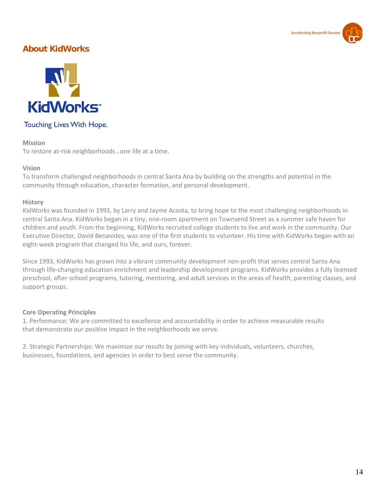

## <span id="page-14-0"></span>**About KidWorks**



## Touching Lives With Hope.

#### **Mission**

To restore at-risk neighborhoods…one life at a time.

## **Vision**

To transform challenged neighborhoods in central Santa Ana by building on the strengths and potential in the community through education, character formation, and personal development.

#### **History**

KidWorks was founded in 1993, by Larry and Jayme Acosta, to bring hope to the most challenging neighborhoods in central Santa Ana. KidWorks began in a tiny, one-room apartment on Townsend Street as a summer safe haven for children and youth. From the beginning, KidWorks recruited college students to live and work in the community. Our Executive Director, David Benavides, was one of the first students to volunteer. His time with KidWorks began with an eight-week program that changed his life, and ours, forever.

Since 1993, KidWorks has grown into a vibrant community development non-profit that serves central Santa Ana through life-changing education enrichment and leadership development programs. KidWorks provides a fully licensed preschool, after-school programs, tutoring, mentoring, and adult services in the areas of health, parenting classes, and support groups.

## **Core Operating Principles**

1. Performance: We are committed to excellence and accountability in order to achieve measurable results that demonstrate our positive impact in the neighborhoods we serve.

2. Strategic Partnerships: We maximize our results by joining with key individuals, volunteers, churches, businesses, foundations, and agencies in order to best serve the community.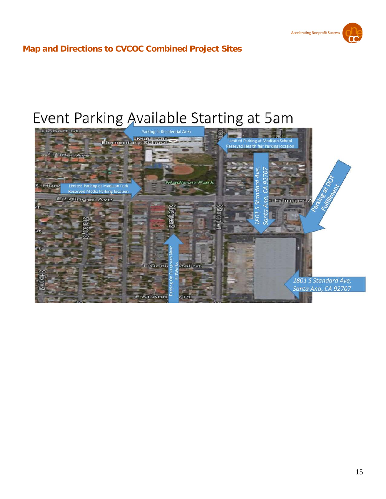

## <span id="page-15-0"></span>**Map and Directions to CVCOC Combined Project Sites**

# <span id="page-15-1"></span>Event Parking Available Starting at 5am

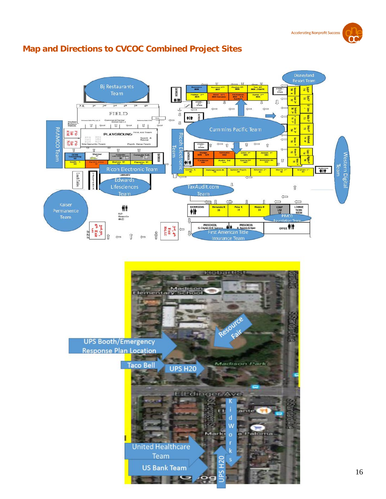#### $\mathbf{1}$ **Bi Restaurants You 6<sup>th</sup>**<br>BOS / GATE  $\mathbb{R}$ E STAIRS<br>S<sup>372</sup><br>Grade **MODELING** a i  $\frac{1}{2}$ l ÷it Ω  $\begin{array}{r} \texttt{STARS} \\ \texttt{S}^{\text{TS}} \\ \texttt{Orads} \end{array}$ π  $\mathbf{P-K}$  $3<sup>d</sup>$  $4<sup>th</sup>$ **God**  $\frac{1}{n}$  $\frac{1}{2}$ 日个 FIELD  $H$ 三星 a m d Center<br>nes Gas La  $\mathfrak g$ **Student<br>Release**<br>Station  $|U|$  $U$  |  $\overline{u}$  1  $\leftarrow$  $\leftarrow$  $\frac{1}{2}$ N R Cummins Pacific Team **PAAMCO Team First** PLAYGROUND First Aid Team **Ricon Electi High** Search & a is **Figure**  $=$  0 lesp.Tean  $\overline{\mathbf{u}}$  $\Longleftrightarrow$  $\widehat{\mathbf{U}}$  $\begin{array}{r} 37A1R3 - \\ 2^{-r} \\ \hline \end{array}$  Orade ΤîΓ Team Ū  $\overline{\mathbb{U}}$ Ū Ū **High**  $\frac{1}{2}$ Labr After & Shern<br>57 imirt<br>60 Jennen<br>684 court **Nestern Digita**  $\frac{1}{2}$  $\widehat{\mathbb{U}}$  $\equiv \frac{\overline{a}}{a}$ Andre 3rd<br>606 Garcia<sup>:</sup><br>607 nkosky<br>**100** ŧĪŧ nith<br>54 leam  $\frac{1}{2}$ ahan<br>| 41 Lunch Tables **LIBRARY CAFETERI** Edwards  $\rm{u}$ Lifesciences TaxAudit.com  $\hat{\mathbb{I}}$ **Team** Team  $\Longleftrightarrow$  $\mathbb{I}$  $\Longleftrightarrow$  $\left.\begin{array}{c}\n\phi\\
\text{RSD} \\
\text{Hermecilo} \\
\text{16.22}\n\end{array}\right.$ LOUNGE<br>WCRK<br>ROOM EATHROOMS COM<br>LAB<br>12 Hernandez K<br>35 Peña K<br>34 Horena K Л **PRESCHOOL**<br>
G Clayton & M Survers A Open<br>
First American Title<br>
Insurance Team OFFICE PIT 3<sup>14</sup>, 4<sup>14</sup><br>Fxit  $\overline{\phantom{0}}$ J, Û  $\leftarrow$  $\leftarrow$

## **Map and Directions to CVCOC Combined Project Sites**

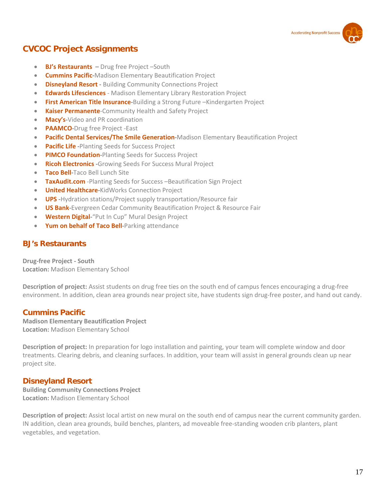

## **CVCOC Project Assignments**

- **BJ's Restaurants –** Drug free Project –South
- **Cummins Pacific-**Madison Elementary Beautification Project
- **Disneyland Resort -** Building Community Connections Project
- **Edwards Lifesciences** Madison Elementary Library Restoration Project
- **First American Title Insurance-**Building a Strong Future –Kindergarten Project
- **Kaiser Permanente**-Community Health and Safety Project
- **Macy's-**Video and PR coordination
- **PAAMCO-**Drug free Project -East
- **Pacific Dental Services/The Smile Generation-**Madison Elementary Beautification Project
- **Pacific Life -**Planting Seeds for Success Project
- **PIMCO Foundation-**Planting Seeds for Success Project
- **Ricoh Electronics -**Growing Seeds For Success Mural Project
- **Taco Bell-**Taco Bell Lunch Site
- **TaxAudit.com** -Planting Seeds for Success –Beautification Sign Project
- **United Healthcare-**KidWorks Connection Project
- **UPS -**Hydration stations/Project supply transportation/Resource fair
- **US Bank-Evergreen Cedar Community Beautification Project & Resource Fair**
- **Western Digital-**"Put In Cup" Mural Design Project
- **Yum on behalf of Taco Bell-**Parking attendance

## **BJ's Restaurants**

**Drug-free Project - South Location:** Madison Elementary School

**Description of project:** Assist students on drug free ties on the south end of campus fences encouraging a drug-free environment. In addition, clean area grounds near project site, have students sign drug-free poster, and hand out candy.

## **Cummins Pacific**

**Madison Elementary Beautification Project Location:** Madison Elementary School

**Description of project:** In preparation for logo installation and painting, your team will complete window and door treatments. Clearing debris, and cleaning surfaces. In addition, your team will assist in general grounds clean up near project site.

## **Disneyland Resort**

**Building Community Connections Project Location:** Madison Elementary School

**Description of project:** Assist local artist on new mural on the south end of campus near the current community garden. IN addition, clean area grounds, build benches, planters, ad moveable free-standing wooden crib planters, plant vegetables, and vegetation.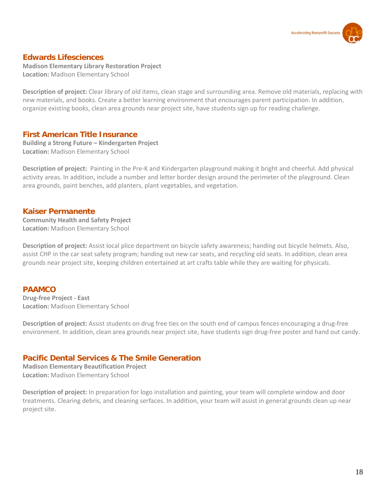

## **Edwards Lifesciences**

**Madison Elementary Library Restoration Project Location:** Madison Elementary School

**Description of project:** Clear library of old items, clean stage and surrounding area. Remove old materials, replacing with new materials, and books. Create a better learning environment that encourages parent participation. In addition, organize existing books, clean area grounds near project site, have students sign up for reading challenge.

## **First American Title Insurance**

**Building a Strong Future – Kindergarten Project Location:** Madison Elementary School

**Description of project:** Painting in the Pre-K and Kindergarten playground making it bright and cheerful. Add physical activity areas. In addition, include a number and letter border design around the perimeter of the playground. Clean area grounds, paint benches, add planters, plant vegetables, and vegetation.

## **Kaiser Permanente**

**Community Health and Safety Project Location:** Madison Elementary School

**Description of project:** Assist local plice department on bicycle safety awareness; handing out bicycle helmets. Also, assist CHP in the car seat safety program; handing out new car seats, and recycling old seats. In addition, clean area grounds near project site, keeping children entertained at art crafts table while they are waiting for physicals.

## **PAAMCO**

**Drug-free Project - East Location:** Madison Elementary School

**Description of project:** Assist students on drug free ties on the south end of campus fences encouraging a drug-free environment. In addition, clean area grounds near project site, have students sign drug-free poster and hand out candy.

## **Pacific Dental Services & The Smile Generation**

**Madison Elementary Beautification Project Location:** Madison Elementary School

**Description of project:** In preparation for logo installation and painting, your team will complete window and door treatments. Clearing debris, and cleaning serfaces. In addition, your team will assist in general grounds clean up near project site.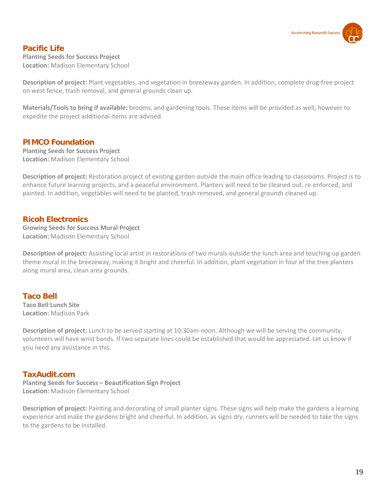

## **Pacific Life**

**Planting Seeds for Success Project Location:** Madison Elementary School

**Description of project:** Plant vegetables, and vegetation in breezeway garden. In addition, complete drug-free project on west fence, trash removal, and general grounds clean up.

**Materials/Tools to bring if available:** brooms, and gardening tools. These items will be provided as well, however to expedite the project additional items are advised.

## **PIMCO Foundation**

**Planting Seeds for Success Project Location:** Madison Elementary School

**Description of project:** Restoration project of existing garden outside the main office leading to classrooms. Project is to enhance future learning projects, and a peaceful environment. Planters will need to be cleaned out, re-enforced, and painted. In addition, vegetables will need to be planted, trash removed, and general grounds cleaned up.

## **Ricoh Electronics**

**Growing Seeds for Success Mural Project Location:** Madison Elementary School

**Description of project:** Assisting local artist in restorations of two murals outside the lunch area and touching up garden theme mural in the breezeway, making it bright and cheerful. In addition, plant vegetation in four of the tree planters along mural area, clean area grounds.

## **Taco Bell**

**Taco Bell Lunch Site Location:** Madison Park

**Description of project:** Lunch to be served starting at 10:30am-noon. Although we will be serving the community, volunteers will have wrist bands. If two separate lines could be established that would be appreciated. Let us know if you need any assistance in this.

## **TaxAudit.com**

**Planting Seeds for Success – Beautification Sign Project Location:** Madison Elementary School

**Description of project:** Painting and decorating of small planter signs. These signs will help make the gardens a learning experience and make the gardens bright and cheerful. In addition, as signs dry, runners will be needed to take the signs to the gardens to be installed.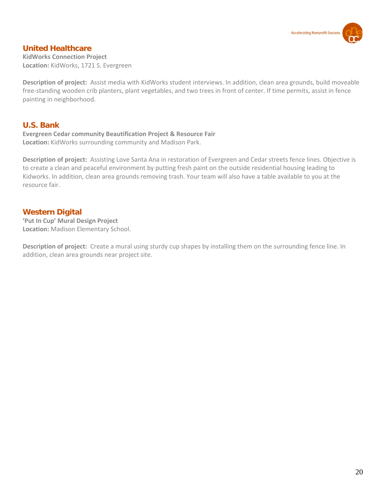

## **United Healthcare**

**KidWorks Connection Project Location:** KidWorks, 1721 S. Evergreen

**Description of project:** Assist media with KidWorks student interviews. In addition, clean area grounds, build moveable free-standing wooden crib planters, plant vegetables, and two trees in front of center. If time permits, assist in fence painting in neighborhood.

## **U.S. Bank**

**Evergreen Cedar community Beautification Project & Resource Fair Location:** KidWorks surrounding community and Madison Park.

**Description of project:** Assisting Love Santa Ana in restoration of Evergreen and Cedar streets fence lines. Objective is to create a clean and peaceful environment by putting fresh paint on the outside residential housing leading to Kidworks. In addition, clean area grounds removing trash. Your team will also have a table available to you at the resource fair.

## **Western Digital**

**'Put In Cup' Mural Design Project Location:** Madison Elementary School.

**Description of project:** Create a mural using sturdy cup shapes by installing them on the surrounding fence line. In addition, clean area grounds near project site.